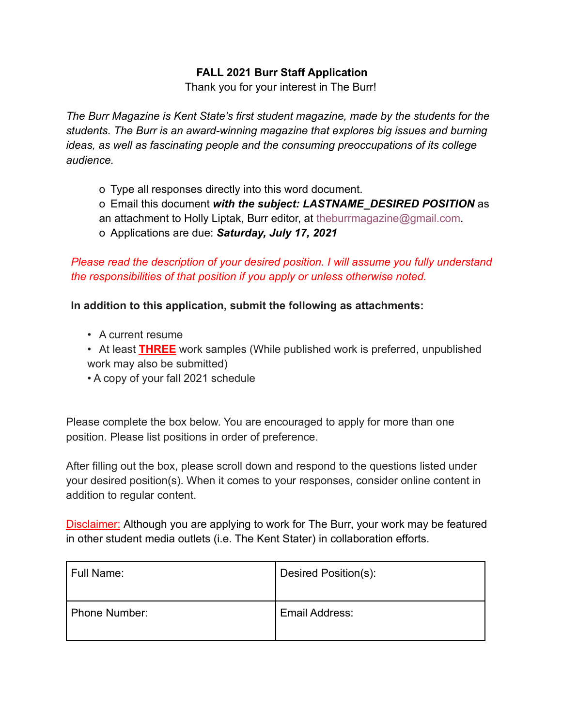# **FALL 2021 Burr Staff Application**

Thank you for your interest in The Burr!

*The Burr Magazine is Kent State's first student magazine, made by the students for the students. The Burr is an award-winning magazine that explores big issues and burning ideas, as well as fascinating people and the consuming preoccupations of its college audience.*

- o Type all responses directly into this word document.
- o Email this document *with the subject: LASTNAME\_DESIRED POSITION* as
- an attachment to Holly Liptak, Burr editor, at theburrmagazine@gmail.com.
- o Applications are due: *Saturday, July 17, 2021*

*Please read the description of your desired position. I will assume you fully understand the responsibilities of that position if you apply or unless otherwise noted.*

**In addition to this application, submit the following as attachments:**

- A current resume
- At least **THREE** work samples (While published work is preferred, unpublished work may also be submitted)
- A copy of your fall 2021 schedule

Please complete the box below. You are encouraged to apply for more than one position. Please list positions in order of preference.

After filling out the box, please scroll down and respond to the questions listed under your desired position(s). When it comes to your responses, consider online content in addition to regular content.

Disclaimer: Although you are applying to work for The Burr, your work may be featured in other student media outlets (i.e. The Kent Stater) in collaboration efforts.

| Full Name:    | Desired Position(s): |
|---------------|----------------------|
| Phone Number: | Email Address:       |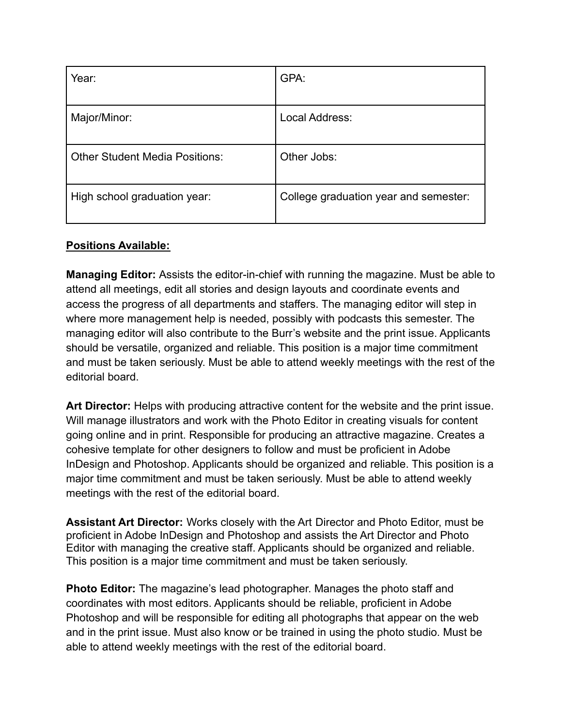| Year:                                 | GPA:                                  |
|---------------------------------------|---------------------------------------|
| Major/Minor:                          | Local Address:                        |
| <b>Other Student Media Positions:</b> | Other Jobs:                           |
| High school graduation year:          | College graduation year and semester: |

# **Positions Available:**

**Managing Editor:** Assists the editor-in-chief with running the magazine. Must be able to attend all meetings, edit all stories and design layouts and coordinate events and access the progress of all departments and staffers. The managing editor will step in where more management help is needed, possibly with podcasts this semester. The managing editor will also contribute to the Burr's website and the print issue. Applicants should be versatile, organized and reliable. This position is a major time commitment and must be taken seriously. Must be able to attend weekly meetings with the rest of the editorial board.

**Art Director:** Helps with producing attractive content for the website and the print issue. Will manage illustrators and work with the Photo Editor in creating visuals for content going online and in print. Responsible for producing an attractive magazine. Creates a cohesive template for other designers to follow and must be proficient in Adobe InDesign and Photoshop. Applicants should be organized and reliable. This position is a major time commitment and must be taken seriously. Must be able to attend weekly meetings with the rest of the editorial board.

**Assistant Art Director:** Works closely with the Art Director and Photo Editor, must be proficient in Adobe InDesign and Photoshop and assists the Art Director and Photo Editor with managing the creative staff. Applicants should be organized and reliable. This position is a major time commitment and must be taken seriously.

**Photo Editor:** The magazine's lead photographer. Manages the photo staff and coordinates with most editors. Applicants should be reliable, proficient in Adobe Photoshop and will be responsible for editing all photographs that appear on the web and in the print issue. Must also know or be trained in using the photo studio. Must be able to attend weekly meetings with the rest of the editorial board.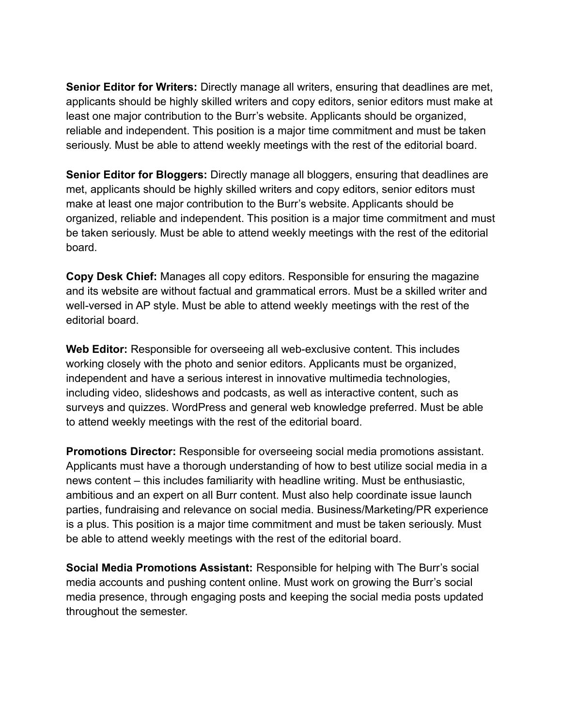**Senior Editor for Writers:** Directly manage all writers, ensuring that deadlines are met, applicants should be highly skilled writers and copy editors, senior editors must make at least one major contribution to the Burr's website. Applicants should be organized, reliable and independent. This position is a major time commitment and must be taken seriously. Must be able to attend weekly meetings with the rest of the editorial board.

**Senior Editor for Bloggers:** Directly manage all bloggers, ensuring that deadlines are met, applicants should be highly skilled writers and copy editors, senior editors must make at least one major contribution to the Burr's website. Applicants should be organized, reliable and independent. This position is a major time commitment and must be taken seriously. Must be able to attend weekly meetings with the rest of the editorial board.

**Copy Desk Chief:** Manages all copy editors. Responsible for ensuring the magazine and its website are without factual and grammatical errors. Must be a skilled writer and well-versed in AP style. Must be able to attend weekly meetings with the rest of the editorial board.

**Web Editor:** Responsible for overseeing all web-exclusive content. This includes working closely with the photo and senior editors. Applicants must be organized, independent and have a serious interest in innovative multimedia technologies, including video, slideshows and podcasts, as well as interactive content, such as surveys and quizzes. WordPress and general web knowledge preferred. Must be able to attend weekly meetings with the rest of the editorial board.

**Promotions Director:** Responsible for overseeing social media promotions assistant. Applicants must have a thorough understanding of how to best utilize social media in a news content – this includes familiarity with headline writing. Must be enthusiastic, ambitious and an expert on all Burr content. Must also help coordinate issue launch parties, fundraising and relevance on social media. Business/Marketing/PR experience is a plus. This position is a major time commitment and must be taken seriously. Must be able to attend weekly meetings with the rest of the editorial board.

**Social Media Promotions Assistant:** Responsible for helping with The Burr's social media accounts and pushing content online. Must work on growing the Burr's social media presence, through engaging posts and keeping the social media posts updated throughout the semester.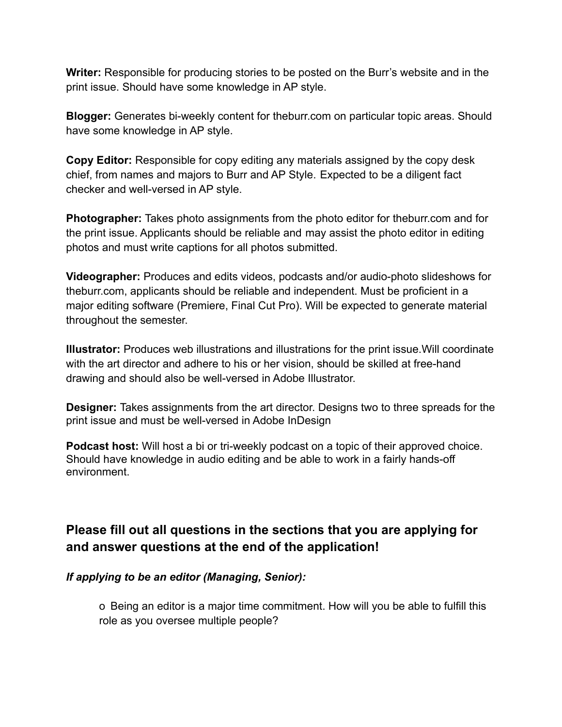**Writer:** Responsible for producing stories to be posted on the Burr's website and in the print issue. Should have some knowledge in AP style.

**Blogger:** Generates bi-weekly content for theburr.com on particular topic areas. Should have some knowledge in AP style.

**Copy Editor:** Responsible for copy editing any materials assigned by the copy desk chief, from names and majors to Burr and AP Style. Expected to be a diligent fact checker and well-versed in AP style.

**Photographer:** Takes photo assignments from the photo editor for theburr.com and for the print issue. Applicants should be reliable and may assist the photo editor in editing photos and must write captions for all photos submitted.

**Videographer:** Produces and edits videos, podcasts and/or audio-photo slideshows for theburr.com, applicants should be reliable and independent. Must be proficient in a major editing software (Premiere, Final Cut Pro). Will be expected to generate material throughout the semester.

**Illustrator:** Produces web illustrations and illustrations for the print issue.Will coordinate with the art director and adhere to his or her vision, should be skilled at free-hand drawing and should also be well-versed in Adobe Illustrator.

**Designer:** Takes assignments from the art director. Designs two to three spreads for the print issue and must be well-versed in Adobe InDesign

**Podcast host:** Will host a bi or tri-weekly podcast on a topic of their approved choice. Should have knowledge in audio editing and be able to work in a fairly hands-off environment.

# **Please fill out all questions in the sections that you are applying for and answer questions at the end of the application!**

# *If applying to be an editor (Managing, Senior):*

o Being an editor is a major time commitment. How will you be able to fulfill this role as you oversee multiple people?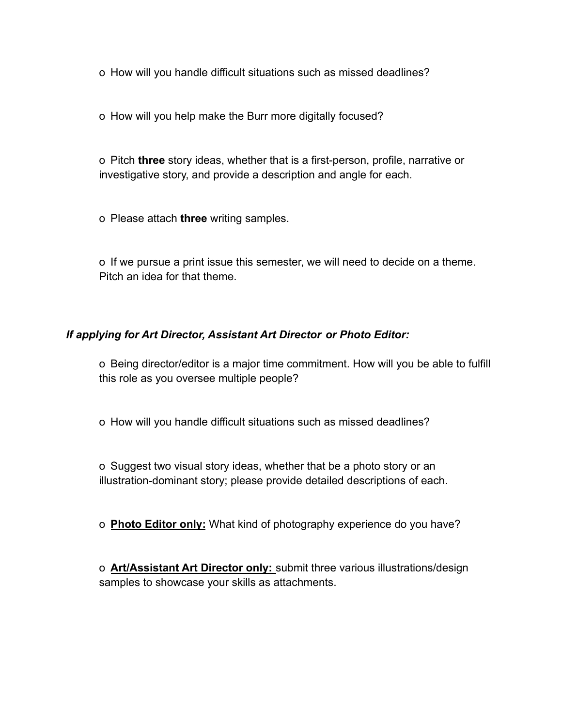o How will you handle difficult situations such as missed deadlines?

o How will you help make the Burr more digitally focused?

o Pitch **three** story ideas, whether that is a first-person, profile, narrative or investigative story, and provide a description and angle for each.

o Please attach **three** writing samples.

o If we pursue a print issue this semester, we will need to decide on a theme. Pitch an idea for that theme.

# *If applying for Art Director, Assistant Art Director or Photo Editor:*

o Being director/editor is a major time commitment. How will you be able to fulfill this role as you oversee multiple people?

o How will you handle difficult situations such as missed deadlines?

o Suggest two visual story ideas, whether that be a photo story or an illustration-dominant story; please provide detailed descriptions of each.

o **Photo Editor only:** What kind of photography experience do you have?

o **Art/Assistant Art Director only:** submit three various illustrations/design samples to showcase your skills as attachments.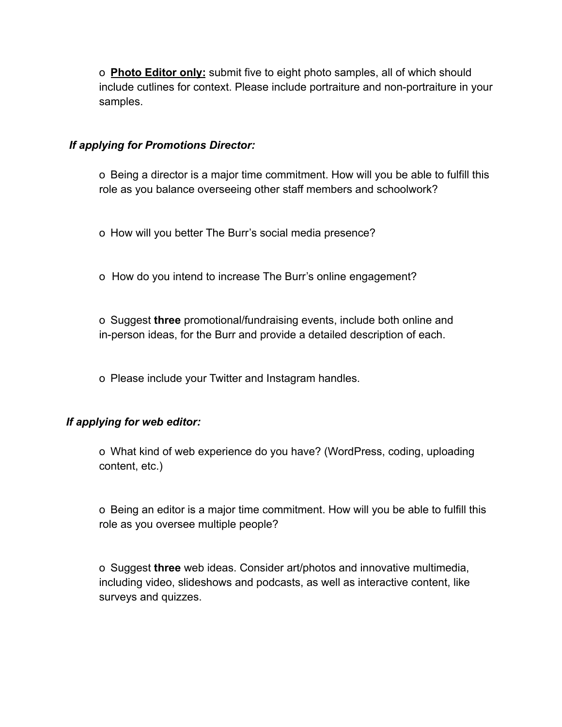o **Photo Editor only:** submit five to eight photo samples, all of which should include cutlines for context. Please include portraiture and non-portraiture in your samples.

#### *If applying for Promotions Director:*

o Being a director is a major time commitment. How will you be able to fulfill this role as you balance overseeing other staff members and schoolwork?

o How will you better The Burr's social media presence?

o How do you intend to increase The Burr's online engagement?

o Suggest **three** promotional/fundraising events, include both online and in-person ideas, for the Burr and provide a detailed description of each.

o Please include your Twitter and Instagram handles.

# *If applying for web editor:*

o What kind of web experience do you have? (WordPress, coding, uploading content, etc.)

o Being an editor is a major time commitment. How will you be able to fulfill this role as you oversee multiple people?

o Suggest **three** web ideas. Consider art/photos and innovative multimedia, including video, slideshows and podcasts, as well as interactive content, like surveys and quizzes.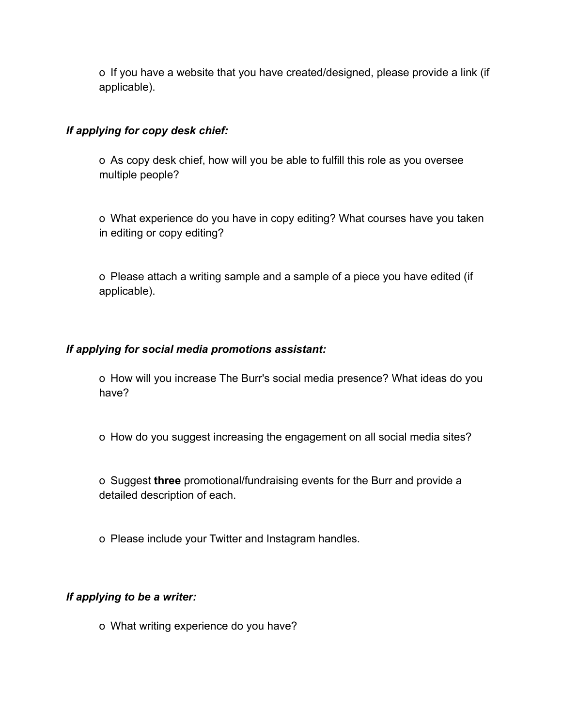o If you have a website that you have created/designed, please provide a link (if applicable).

#### *If applying for copy desk chief:*

o As copy desk chief, how will you be able to fulfill this role as you oversee multiple people?

o What experience do you have in copy editing? What courses have you taken in editing or copy editing?

o Please attach a writing sample and a sample of a piece you have edited (if applicable).

#### *If applying for social media promotions assistant:*

o How will you increase The Burr's social media presence? What ideas do you have?

o How do you suggest increasing the engagement on all social media sites?

o Suggest **three** promotional/fundraising events for the Burr and provide a detailed description of each.

o Please include your Twitter and Instagram handles.

# *If applying to be a writer:*

o What writing experience do you have?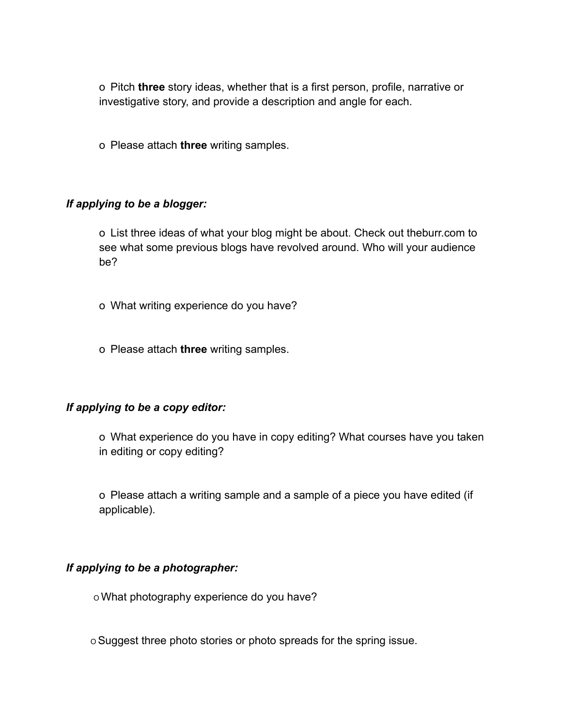o Pitch **three** story ideas, whether that is a first person, profile, narrative or investigative story, and provide a description and angle for each.

o Please attach **three** writing samples.

#### *If applying to be a blogger:*

o List three ideas of what your blog might be about. Check out theburr.com to see what some previous blogs have revolved around. Who will your audience be?

- o What writing experience do you have?
- o Please attach **three** writing samples.

#### *If applying to be a copy editor:*

o What experience do you have in copy editing? What courses have you taken in editing or copy editing?

o Please attach a writing sample and a sample of a piece you have edited (if applicable).

#### *If applying to be a photographer:*

o What photography experience do you have?

<sup>O</sup> Suggest three photo stories or photo spreads for the spring issue.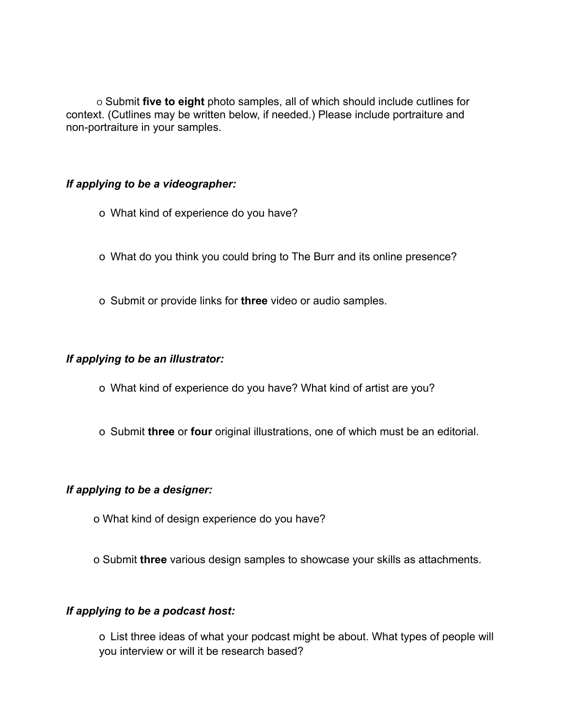<sup>O</sup> Submit **five to eight** photo samples, all of which should include cutlines for context. (Cutlines may be written below, if needed.) Please include portraiture and non-portraiture in your samples.

#### *If applying to be a videographer:*

- o What kind of experience do you have?
- o What do you think you could bring to The Burr and its online presence?
- o Submit or provide links for **three** video or audio samples.

#### *If applying to be an illustrator:*

- o What kind of experience do you have? What kind of artist are you?
- o Submit **three** or **four** original illustrations, one of which must be an editorial.

# *If applying to be a designer:*

- o What kind of design experience do you have?
- o Submit **three** various design samples to showcase your skills as attachments.

# *If applying to be a podcast host:*

o List three ideas of what your podcast might be about. What types of people will you interview or will it be research based?